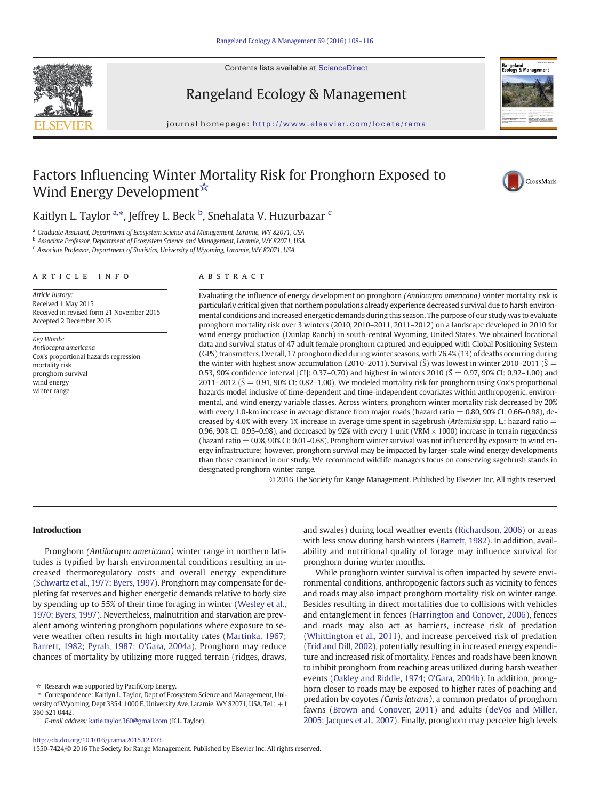Contents lists available at ScienceDirect





# Rangeland Ecology & Management

journal homepage: http://www.elsevier.com/locate/rama

# Factors Influencing Winter Mortality Risk for Pronghorn Exposed to Wind Energy Development<sup>☆</sup>



Kaitlyn L. Taylor <sup>a,\*</sup>, Jeffrey L. Beck <sup>b</sup>, Snehalata V. Huzurbazar <sup>c</sup>

<sup>a</sup> Graduate Assistant, Department of Ecosystem Science and Management, Laramie, WY 82071, USA

<sup>b</sup> Associate Professor, Department of Ecosystem Science and Management, Laramie, WY 82071, USA

 $c$  Associate Professor, Department of Statistics, University of Wyoming, Laramie, WY 82071, USA

# article info abstract

Article history: Received 1 May 2015 Received in revised form 21 November 2015 Accepted 2 December 2015

Key Words: Antilocapra americana Cox's proportional hazards regression mortality risk pronghorn survival wind energy winter range

Evaluating the influence of energy development on pronghorn (Antilocapra americana) winter mortality risk is particularly critical given that northern populations already experience decreased survival due to harsh environmental conditions and increased energetic demands during this season. The purpose of our study was to evaluate pronghorn mortality risk over 3 winters (2010, 2010–2011, 2011–2012) on a landscape developed in 2010 for wind energy production (Dunlap Ranch) in south-central Wyoming, United States. We obtained locational data and survival status of 47 adult female pronghorn captured and equipped with Global Positioning System (GPS) transmitters. Overall, 17 pronghorn died during winter seasons, with 76.4% (13) of deaths occurring during the winter with highest snow accumulation (2010–2011). Survival  $(\hat{S})$  was lowest in winter 2010–2011 ( $\hat{S}$  = 0.53, 90% confidence interval [CI]: 0.37–0.70) and highest in winters 2010 ( $\hat{S} = 0.97$ , 90% CI: 0.92–1.00) and 2011–2012 ( $\hat{S} = 0.91$ , 90% CI: 0.82–1.00). We modeled mortality risk for pronghorn using Cox's proportional hazards model inclusive of time-dependent and time-independent covariates within anthropogenic, environmental, and wind energy variable classes. Across winters, pronghorn winter mortality risk decreased by 20% with every 1.0-km increase in average distance from major roads (hazard ratio  $= 0.80, 90\%$  CI: 0.66-0.98), decreased by 4.0% with every 1% increase in average time spent in sagebrush (Artemisia spp. L.; hazard ratio  $=$ 0.96, 90% CI: 0.95–0.98), and decreased by 92% with every 1 unit (VRM  $\times$  1000) increase in terrain ruggedness (hazard ratio  $= 0.08, 90\%$  CI: 0.01–0.68). Pronghorn winter survival was not influenced by exposure to wind energy infrastructure; however, pronghorn survival may be impacted by larger-scale wind energy developments than those examined in our study. We recommend wildlife managers focus on conserving sagebrush stands in designated pronghorn winter range.

© 2016 The Society for Range Management. Published by Elsevier Inc. All rights reserved.

# Introduction

Pronghorn (Antilocapra americana) winter range in northern latitudes is typified by harsh environmental conditions resulting in increased thermoregulatory costs and overall energy expenditure ([Schwartz et al., 1977; Byers, 1997\)](#page-7-0). Pronghorn may compensate for depleting fat reserves and higher energetic demands relative to body size by spending up to 55% of their time foraging in winter [\(Wesley et al.,](#page-8-0) [1970; Byers, 1997\)](#page-8-0). Nevertheless, malnutrition and starvation are prevalent among wintering pronghorn populations where exposure to severe weather often results in high mortality rates [\(Martinka, 1967;](#page-7-0) [Barrett, 1982; Pyrah, 1987; O](#page-7-0)'Gara, 2004a). Pronghorn may reduce chances of mortality by utilizing more rugged terrain (ridges, draws, and swales) during local weather events ([Richardson, 2006\)](#page-7-0) or areas with less snow during harsh winters ([Barrett, 1982\)](#page-7-0). In addition, availability and nutritional quality of forage may influence survival for pronghorn during winter months.

While pronghorn winter survival is often impacted by severe environmental conditions, anthropogenic factors such as vicinity to fences and roads may also impact pronghorn mortality risk on winter range. Besides resulting in direct mortalities due to collisions with vehicles and entanglement in fences ([Harrington and Conover, 2006\)](#page-7-0), fences and roads may also act as barriers, increase risk of predation ([Whittington et al., 2011](#page-8-0)), and increase perceived risk of predation ([Frid and Dill, 2002\)](#page-7-0), potentially resulting in increased energy expenditure and increased risk of mortality. Fences and roads have been known to inhibit pronghorn from reaching areas utilized during harsh weather events [\(Oakley and Riddle, 1974; O](#page-7-0)'Gara, 2004b). In addition, pronghorn closer to roads may be exposed to higher rates of poaching and predation by coyotes (Canis latrans), a common predator of pronghorn fawns ([Brown and Conover, 2011\)](#page-7-0) and adults [\(deVos and Miller,](#page-7-0) [2005; Jacques et al., 2007\)](#page-7-0). Finally, pronghorn may perceive high levels

<sup>☆</sup> Research was supported by PacifiCorp Energy.

<sup>⁎</sup> Correspondence: Kaitlyn L. Taylor, Dept of Ecosystem Science and Management, University of Wyoming, Dept 3354, 1000 E. University Ave. Laramie, WY 82071, USA. Tel.: +1 360 521 0442.

E-mail address: [katie.taylor.360@gmail.com](mailto:katie.taylor.360@gmail.com) (K.L. Taylor).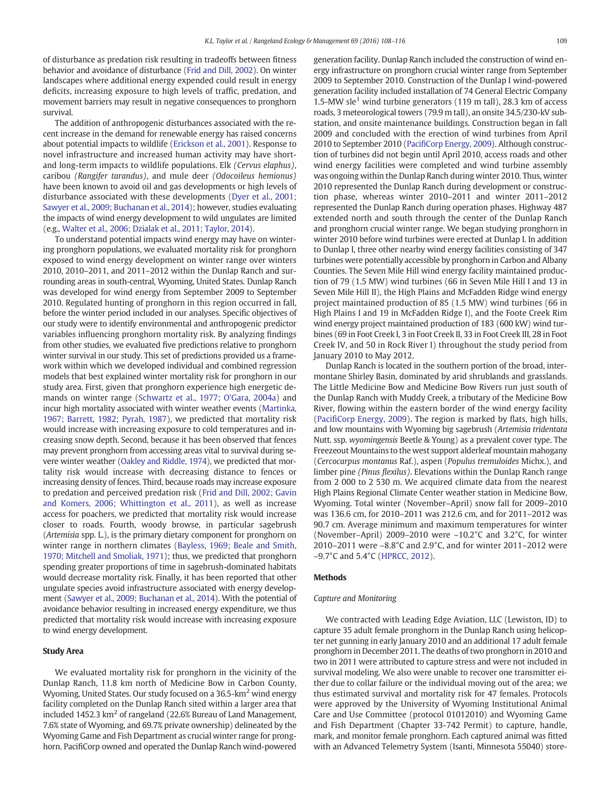of disturbance as predation risk resulting in tradeoffs between fitness behavior and avoidance of disturbance [\(Frid and Dill, 2002](#page-7-0)). On winter landscapes where additional energy expended could result in energy deficits, increasing exposure to high levels of traffic, predation, and movement barriers may result in negative consequences to pronghorn survival.

The addition of anthropogenic disturbances associated with the recent increase in the demand for renewable energy has raised concerns about potential impacts to wildlife ([Erickson et al., 2001](#page-7-0)). Response to novel infrastructure and increased human activity may have shortand long-term impacts to wildlife populations. Elk (Cervus elaphus), caribou (Rangifer tarandus), and mule deer (Odocoileus hemionus) have been known to avoid oil and gas developments or high levels of disturbance associated with these developments [\(Dyer et al., 2001;](#page-7-0) [Sawyer et al., 2009; Buchanan et al., 2014](#page-7-0)); however, studies evaluating the impacts of wind energy development to wild ungulates are limited (e.g., [Walter et al., 2006; Dzialak et al., 2011; Taylor, 2014\)](#page-8-0).

To understand potential impacts wind energy may have on wintering pronghorn populations, we evaluated mortality risk for pronghorn exposed to wind energy development on winter range over winters 2010, 2010–2011, and 2011–2012 within the Dunlap Ranch and surrounding areas in south-central, Wyoming, United States. Dunlap Ranch was developed for wind energy from September 2009 to September 2010. Regulated hunting of pronghorn in this region occurred in fall, before the winter period included in our analyses. Specific objectives of our study were to identify environmental and anthropogenic predictor variables influencing pronghorn mortality risk. By analyzing findings from other studies, we evaluated five predictions relative to pronghorn winter survival in our study. This set of predictions provided us a framework within which we developed individual and combined regression models that best explained winter mortality risk for pronghorn in our study area. First, given that pronghorn experience high energetic demands on winter range [\(Schwartz et al., 1977; O](#page-7-0)'Gara, 2004a) and incur high mortality associated with winter weather events [\(Martinka,](#page-7-0) [1967; Barrett, 1982; Pyrah, 1987](#page-7-0)), we predicted that mortality risk would increase with increasing exposure to cold temperatures and increasing snow depth. Second, because it has been observed that fences may prevent pronghorn from accessing areas vital to survival during severe winter weather ([Oakley and Riddle, 1974](#page-7-0)), we predicted that mortality risk would increase with decreasing distance to fences or increasing density of fences. Third, because roads may increase exposure to predation and perceived predation risk [\(Frid and Dill, 2002; Gavin](#page-7-0) [and Komers, 2006; Whittington et al., 2011](#page-7-0)), as well as increase access for poachers, we predicted that mortality risk would increase closer to roads. Fourth, woody browse, in particular sagebrush (Artemisia spp. L.), is the primary dietary component for pronghorn on winter range in northern climates ([Bayless, 1969; Beale and Smith,](#page-7-0) [1970; Mitchell and Smoliak, 1971](#page-7-0)); thus, we predicted that pronghorn spending greater proportions of time in sagebrush-dominated habitats would decrease mortality risk. Finally, it has been reported that other ungulate species avoid infrastructure associated with energy development ([Sawyer et al., 2009; Buchanan et al., 2014](#page-7-0)). With the potential of avoidance behavior resulting in increased energy expenditure, we thus predicted that mortality risk would increase with increasing exposure to wind energy development.

# Study Area

We evaluated mortality risk for pronghorn in the vicinity of the Dunlap Ranch, 11.8 km north of Medicine Bow in Carbon County, Wyoming, United States. Our study focused on a 36.5-km<sup>2</sup> wind energy facility completed on the Dunlap Ranch sited within a larger area that included 1452.3  $km^2$  of rangeland (22.6% Bureau of Land Management, 7.6% state of Wyoming, and 69.7% private ownership) delineated by the Wyoming Game and Fish Department as crucial winter range for pronghorn. PacifiCorp owned and operated the Dunlap Ranch wind-powered

generation facility. Dunlap Ranch included the construction of wind energy infrastructure on pronghorn crucial winter range from September 2009 to September 2010. Construction of the Dunlap I wind-powered generation facility included installation of 74 General Electric Company 1.5-MW sle<sup>1</sup> wind turbine generators (119 m tall), 28.3 km of access roads, 3 meteorological towers (79.9 m tall), an onsite 34.5/230-kV substation, and onsite maintenance buildings. Construction began in fall 2009 and concluded with the erection of wind turbines from April 2010 to September 2010 (Pacifi[Corp Energy, 2009](#page-7-0)). Although construction of turbines did not begin until April 2010, access roads and other wind energy facilities were completed and wind turbine assembly was ongoing within the Dunlap Ranch during winter 2010. Thus, winter 2010 represented the Dunlap Ranch during development or construction phase, whereas winter 2010–2011 and winter 2011–2012 represented the Dunlap Ranch during operation phases. Highway 487 extended north and south through the center of the Dunlap Ranch and pronghorn crucial winter range. We began studying pronghorn in winter 2010 before wind turbines were erected at Dunlap I. In addition to Dunlap I, three other nearby wind energy facilities consisting of 347 turbines were potentially accessible by pronghorn in Carbon and Albany Counties. The Seven Mile Hill wind energy facility maintained production of 79 (1.5 MW) wind turbines (66 in Seven Mile Hill I and 13 in Seven Mile Hill II), the High Plains and McFadden Ridge wind energy project maintained production of 85 (1.5 MW) wind turbines (66 in High Plains I and 19 in McFadden Ridge I), and the Foote Creek Rim wind energy project maintained production of 183 (600 kW) wind turbines (69 in Foot Creek I, 3 in Foot Creek II, 33 in Foot Creek III, 28 in Foot Creek IV, and 50 in Rock River I) throughout the study period from January 2010 to May 2012.

Dunlap Ranch is located in the southern portion of the broad, intermontane Shirley Basin, dominated by arid shrublands and grasslands. The Little Medicine Bow and Medicine Bow Rivers run just south of the Dunlap Ranch with Muddy Creek, a tributary of the Medicine Bow River, flowing within the eastern border of the wind energy facility (Pacifi[Corp Energy, 2009\)](#page-7-0). The region is marked by flats, high hills, and low mountains with Wyoming big sagebrush (Artemisia tridentata Nutt. ssp. wyomingensis Beetle & Young) as a prevalent cover type. The Freezeout Mountains to the west support alderleaf mountain mahogany (Cercocarpus montanus Raf.), aspen (Populus tremuloides Michx.), and limber pine (Pinus flexilus). Elevations within the Dunlap Ranch range from 2 000 to 2 530 m. We acquired climate data from the nearest High Plains Regional Climate Center weather station in Medicine Bow, Wyoming. Total winter (November–April) snow fall for 2009–2010 was 136.6 cm, for 2010–2011 was 212.6 cm, and for 2011–2012 was 90.7 cm. Average minimum and maximum temperatures for winter (November–April) 2009–2010 were –10.2°C and 3.2°C, for winter 2010–2011 were –8.8°C and 2.9°C, and for winter 2011–2012 were –9.7°C and 5.4°C ([HPRCC, 2012](#page-7-0)).

#### Methods

### Capture and Monitoring

We contracted with Leading Edge Aviation, LLC (Lewiston, ID) to capture 35 adult female pronghorn in the Dunlap Ranch using helicopter net gunning in early January 2010 and an additional 17 adult female pronghorn in December 2011. The deaths of two pronghorn in 2010 and two in 2011 were attributed to capture stress and were not included in survival modeling. We also were unable to recover one transmitter either due to collar failure or the individual moving out of the area; we thus estimated survival and mortality risk for 47 females. Protocols were approved by the University of Wyoming Institutional Animal Care and Use Committee (protocol 01012010) and Wyoming Game and Fish Department (Chapter 33-742 Permit) to capture, handle, mark, and monitor female pronghorn. Each captured animal was fitted with an Advanced Telemetry System (Isanti, Minnesota 55040) store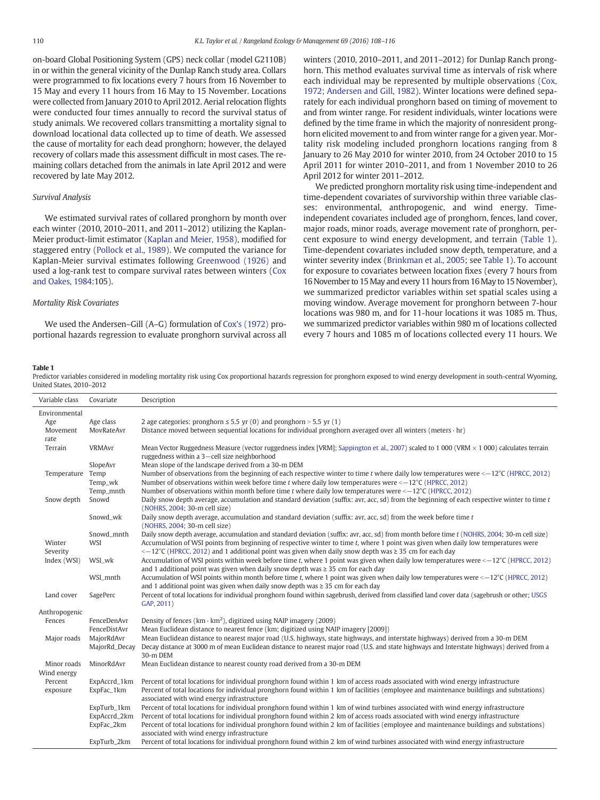<span id="page-2-0"></span>on-board Global Positioning System (GPS) neck collar (model G2110B) in or within the general vicinity of the Dunlap Ranch study area. Collars were programmed to fix locations every 7 hours from 16 November to 15 May and every 11 hours from 16 May to 15 November. Locations were collected from January 2010 to April 2012. Aerial relocation flights were conducted four times annually to record the survival status of study animals. We recovered collars transmitting a mortality signal to download locational data collected up to time of death. We assessed the cause of mortality for each dead pronghorn; however, the delayed recovery of collars made this assessment difficult in most cases. The remaining collars detached from the animals in late April 2012 and were recovered by late May 2012.

# Survival Analysis

We estimated survival rates of collared pronghorn by month over each winter (2010, 2010–2011, and 2011–2012) utilizing the Kaplan-Meier product-limit estimator [\(Kaplan and Meier, 1958\)](#page-7-0), modified for staggered entry ([Pollock et al., 1989](#page-7-0)). We computed the variance for Kaplan-Meier survival estimates following [Greenwood \(1926\)](#page-7-0) and used a log-rank test to compare survival rates between winters ([Cox](#page-7-0) [and Oakes, 1984:](#page-7-0)105).

#### Mortality Risk Covariates

We used the Andersen–Gill (A–G) formulation of Cox'[s \(1972\)](#page-7-0) proportional hazards regression to evaluate pronghorn survival across all

winters (2010, 2010–2011, and 2011–2012) for Dunlap Ranch pronghorn. This method evaluates survival time as intervals of risk where each individual may be represented by multiple observations ([Cox,](#page-7-0) [1972; Andersen and Gill, 1982](#page-7-0)). Winter locations were defined separately for each individual pronghorn based on timing of movement to and from winter range. For resident individuals, winter locations were defined by the time frame in which the majority of nonresident pronghorn elicited movement to and from winter range for a given year. Mortality risk modeling included pronghorn locations ranging from 8 January to 26 May 2010 for winter 2010, from 24 October 2010 to 15 April 2011 for winter 2010–2011, and from 1 November 2010 to 26 April 2012 for winter 2011–2012.

We predicted pronghorn mortality risk using time-independent and time-dependent covariates of survivorship within three variable classes: environmental, anthropogenic, and wind energy. Timeindependent covariates included age of pronghorn, fences, land cover, major roads, minor roads, average movement rate of pronghorn, percent exposure to wind energy development, and terrain (Table 1). Time-dependent covariates included snow depth, temperature, and a winter severity index [\(Brinkman et al., 2005](#page-7-0); see Table 1). To account for exposure to covariates between location fixes (every 7 hours from 16 November to 15May and every 11 hours from 16May to 15 November), we summarized predictor variables within set spatial scales using a moving window. Average movement for pronghorn between 7-hour locations was 980 m, and for 11-hour locations it was 1085 m. Thus, we summarized predictor variables within 980 m of locations collected every 7 hours and 1085 m of locations collected every 11 hours. We

# Table 1

Predictor variables considered in modeling mortality risk using Cox proportional hazards regression for pronghorn exposed to wind energy development in south-central Wyoming, United States, 2010–2012

| Variable class | Covariate     | Description                                                                                                                                                                                                                          |
|----------------|---------------|--------------------------------------------------------------------------------------------------------------------------------------------------------------------------------------------------------------------------------------|
| Environmental  |               |                                                                                                                                                                                                                                      |
| Age            | Age class     | 2 age categories: pronghorn $\leq$ 5.5 yr (0) and pronghorn > 5.5 yr (1)                                                                                                                                                             |
| Movement       | MovRateAvr    | Distance moved between sequential locations for individual pronghorn averaged over all winters (meters $\cdot$ hr)                                                                                                                   |
| rate           |               |                                                                                                                                                                                                                                      |
| Terrain        | <b>VRMAvr</b> | Mean Vector Ruggedness Measure (vector ruggedness index [VRM]; Sappington et al., 2007) scaled to 1 000 (VRM $\times$ 1 000) calculates terrain                                                                                      |
|                |               | ruggedness within a 3-cell size neighborhood                                                                                                                                                                                         |
|                | SlopeAvr      | Mean slope of the landscape derived from a 30-m DEM                                                                                                                                                                                  |
| Temperature    | Temp          | Number of observations from the beginning of each respective winter to time t where daily low temperatures were $<-12^{\circ}C$ (HPRCC, 2012)                                                                                        |
|                | Temp_wk       | Number of observations within week before time t where daily low temperatures were $<-12^{\circ}C$ (HPRCC, 2012)                                                                                                                     |
|                | Temp_mnth     | Number of observations within month before time t where daily low temperatures were $\leq -12^{\circ}C$ (HPRCC, 2012)                                                                                                                |
| Snow depth     | Snowd         | Daily snow depth average, accumulation and standard deviation (suffix: avr, acc, sd) from the beginning of each respective winter to time $t$                                                                                        |
|                |               | (NOHRS, 2004; 30-m cell size)                                                                                                                                                                                                        |
|                | Snowd_wk      | Daily snow depth average, accumulation and standard deviation (suffix: avr, acc, sd) from the week before time t                                                                                                                     |
|                |               | (NOHRS, 2004; 30-m cell size)                                                                                                                                                                                                        |
|                | Snowd_mnth    | Daily snow depth average, accumulation and standard deviation (suffix: avr, acc, sd) from month before time t (NOHRS, 2004; 30-m cell size)                                                                                          |
| Winter         | WSI           | Accumulation of WSI points from beginning of respective winter to time t, where 1 point was given when daily low temperatures were                                                                                                   |
| Severity       |               | $\epsilon$ = 12°C (HPRCC, 2012) and 1 additional point was given when daily snow depth was $\geq$ 35 cm for each day                                                                                                                 |
| Index (WSI)    | WSI_wk        | Accumulation of WSI points within week before time t, where 1 point was given when daily low temperatures were $<-12^{\circ}C$ (HPRCC, 2012)<br>and 1 additional point was given when daily snow depth was $\geq$ 35 cm for each day |
|                | WSI_mnth      | Accumulation of WSI points within month before time t, where 1 point was given when daily low temperatures were $\leq -12^{\circ}C$ (HPRCC, 2012)                                                                                    |
|                |               | and 1 additional point was given when daily snow depth was $\geq$ 35 cm for each day                                                                                                                                                 |
| Land cover     | SagePerc      | Percent of total locations for individual pronghorn found within sagebrush, derived from classified land cover data (sagebrush or other; USGS                                                                                        |
|                |               | GAP, 2011)                                                                                                                                                                                                                           |
| Anthropogenic  |               |                                                                                                                                                                                                                                      |
| Fences         | FenceDenAvr   | Density of fences ( $km \cdot km^2$ ), digitized using NAIP imagery (2009)                                                                                                                                                           |
|                | FenceDistAvr  | Mean Euclidean distance to nearest fence (km; digitized using NAIP imagery [2009])                                                                                                                                                   |
| Major roads    | MajorRdAvr    | Mean Euclidean distance to nearest major road (U.S. highways, state highways, and interstate highways) derived from a 30-m DEM                                                                                                       |
|                | MajorRd_Decay | Decay distance at 3000 m of mean Euclidean distance to nearest major road (U.S. and state highways and Interstate highways) derived from a                                                                                           |
|                |               | 30-m DEM                                                                                                                                                                                                                             |
| Minor roads    | MinorRdAvr    | Mean Euclidean distance to nearest county road derived from a 30-m DEM                                                                                                                                                               |
| Wind energy    |               |                                                                                                                                                                                                                                      |
| Percent        | ExpAccrd_1km  | Percent of total locations for individual pronghorn found within 1 km of access roads associated with wind energy infrastructure                                                                                                     |
| exposure       | ExpFac_1km    | Percent of total locations for individual pronghorn found within 1 km of facilities (employee and maintenance buildings and substations)                                                                                             |
|                |               | associated with wind energy infrastructure                                                                                                                                                                                           |
|                | ExpTurb_1km   | Percent of total locations for individual pronghorn found within 1 km of wind turbines associated with wind energy infrastructure                                                                                                    |
|                | ExpAccrd_2km  | Percent of total locations for individual pronghorn found within 2 km of access roads associated with wind energy infrastructure                                                                                                     |
|                | ExpFac_2km    | Percent of total locations for individual pronghorn found within 2 km of facilities (employee and maintenance buildings and substations)                                                                                             |
|                |               | associated with wind energy infrastructure                                                                                                                                                                                           |
|                | ExpTurb_2km   | Percent of total locations for individual pronghorn found within 2 km of wind turbines associated with wind energy infrastructure                                                                                                    |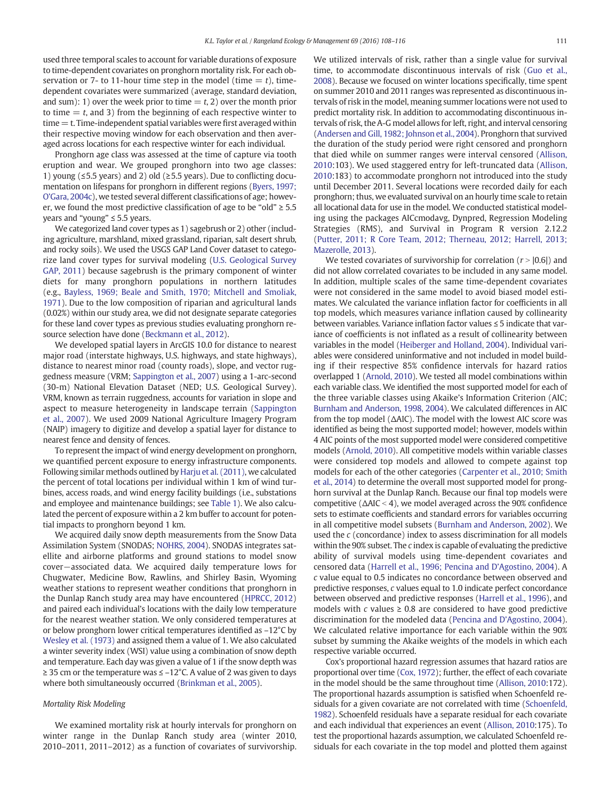used three temporal scales to account for variable durations of exposure to time-dependent covariates on pronghorn mortality risk. For each observation or 7- to 11-hour time step in the model (time  $= t$ ), timedependent covariates were summarized (average, standard deviation, and sum): 1) over the week prior to time  $=$  t, 2) over the month prior to time  $=$  t, and 3) from the beginning of each respective winter to  $time = t$ . Time-independent spatial variables were first averaged within their respective moving window for each observation and then averaged across locations for each respective winter for each individual.

Pronghorn age class was assessed at the time of capture via tooth eruption and wear. We grouped pronghorn into two age classes: 1) young (≤5.5 years) and 2) old (≥5.5 years). Due to conflicting documentation on lifespans for pronghorn in different regions [\(Byers, 1997;](#page-7-0) O'[Gara, 2004c\)](#page-7-0), we tested several different classifications of age; however, we found the most predictive classification of age to be "old"  $\geq 5.5$ years and "young" ≤ 5.5 years.

We categorized land cover types as 1) sagebrush or 2) other (including agriculture, marshland, mixed grassland, riparian, salt desert shrub, and rocky soils). We used the USGS GAP Land Cover dataset to categorize land cover types for survival modeling ([U.S. Geological Survey](#page-7-0) [GAP, 2011\)](#page-7-0) because sagebrush is the primary component of winter diets for many pronghorn populations in northern latitudes (e.g., [Bayless, 1969; Beale and Smith, 1970; Mitchell and Smoliak,](#page-7-0) [1971\)](#page-7-0). Due to the low composition of riparian and agricultural lands (0.02%) within our study area, we did not designate separate categories for these land cover types as previous studies evaluating pronghorn resource selection have done ([Beckmann et al., 2012\)](#page-7-0).

We developed spatial layers in ArcGIS 10.0 for distance to nearest major road (interstate highways, U.S. highways, and state highways), distance to nearest minor road (county roads), slope, and vector ruggedness measure (VRM; [Sappington et al., 2007\)](#page-7-0) using a 1-arc-second (30-m) National Elevation Dataset (NED; U.S. Geological Survey). VRM, known as terrain ruggedness, accounts for variation in slope and aspect to measure heterogeneity in landscape terrain ([Sappington](#page-7-0) [et al., 2007](#page-7-0)). We used 2009 National Agriculture Imagery Program (NAIP) imagery to digitize and develop a spatial layer for distance to nearest fence and density of fences.

To represent the impact of wind energy development on pronghorn, we quantified percent exposure to energy infrastructure components. Following similar methods outlined by [Harju et al. \(2011\)](#page-7-0), we calculated the percent of total locations per individual within 1 km of wind turbines, access roads, and wind energy facility buildings (i.e., substations and employee and maintenance buildings; see [Table 1\)](#page-2-0). We also calculated the percent of exposure within a 2 km buffer to account for potential impacts to pronghorn beyond 1 km.

We acquired daily snow depth measurements from the Snow Data Assimilation System (SNODAS; [NOHRS, 2004\)](#page-7-0). SNODAS integrates satellite and airborne platforms and ground stations to model snow cover−associated data. We acquired daily temperature lows for Chugwater, Medicine Bow, Rawlins, and Shirley Basin, Wyoming weather stations to represent weather conditions that pronghorn in the Dunlap Ranch study area may have encountered [\(HPRCC, 2012](#page-7-0)) and paired each individual's locations with the daily low temperature for the nearest weather station. We only considered temperatures at or below pronghorn lower critical temperatures identified as –12°C by [Wesley et al. \(1973\)](#page-8-0) and assigned them a value of 1. We also calculated a winter severity index (WSI) value using a combination of snow depth and temperature. Each day was given a value of 1 if the snow depth was ≥ 35 cm or the temperature was ≤ –12°C. A value of 2 was given to days where both simultaneously occurred ([Brinkman et al., 2005](#page-7-0)).

# Mortality Risk Modeling

We examined mortality risk at hourly intervals for pronghorn on winter range in the Dunlap Ranch study area (winter 2010, 2010–2011, 2011–2012) as a function of covariates of survivorship. We utilized intervals of risk, rather than a single value for survival time, to accommodate discontinuous intervals of risk ([Guo et al.,](#page-7-0) [2008](#page-7-0)). Because we focused on winter locations specifically, time spent on summer 2010 and 2011 ranges was represented as discontinuous intervals of risk in the model, meaning summer locations were not used to predict mortality risk. In addition to accommodating discontinuous intervals of risk, the A-G model allows for left, right, and interval censoring [\(Andersen and Gill, 1982; Johnson et al., 2004](#page-7-0)). Pronghorn that survived the duration of the study period were right censored and pronghorn that died while on summer ranges were interval censored [\(Allison,](#page-7-0) [2010:](#page-7-0)103). We used staggered entry for left-truncated data ([Allison,](#page-7-0) [2010:](#page-7-0)183) to accommodate pronghorn not introduced into the study until December 2011. Several locations were recorded daily for each pronghorn; thus, we evaluated survival on an hourly time scale to retain all locational data for use in the model. We conducted statistical modeling using the packages AICcmodavg, Dynpred, Regression Modeling Strategies (RMS), and Survival in Program R version 2.12.2 [\(Putter, 2011; R Core Team, 2012; Therneau, 2012; Harrell, 2013;](#page-7-0) [Mazerolle, 2013](#page-7-0)).

We tested covariates of survivorship for correlation ( $r$  >  $|0.6|$ ) and did not allow correlated covariates to be included in any same model. In addition, multiple scales of the same time-dependent covariates were not considered in the same model to avoid biased model estimates. We calculated the variance inflation factor for coefficients in all top models, which measures variance inflation caused by collinearity between variables. Variance inflation factor values ≤ 5 indicate that variance of coefficients is not inflated as a result of collinearity between variables in the model ([Heiberger and Holland, 2004](#page-7-0)). Individual variables were considered uninformative and not included in model building if their respective 85% confidence intervals for hazard ratios overlapped 1 [\(Arnold, 2010](#page-7-0)). We tested all model combinations within each variable class. We identified the most supported model for each of the three variable classes using Akaike's Information Criterion (AIC; [Burnham and Anderson, 1998, 2004](#page-7-0)). We calculated differences in AIC from the top model (ΔAIC). The model with the lowest AIC score was identified as being the most supported model; however, models within 4 AIC points of the most supported model were considered competitive models [\(Arnold, 2010\)](#page-7-0). All competitive models within variable classes were considered top models and allowed to compete against top models for each of the other categories ([Carpenter et al., 2010; Smith](#page-7-0) [et al., 2014\)](#page-7-0) to determine the overall most supported model for pronghorn survival at the Dunlap Ranch. Because our final top models were competitive ( $\Delta AIC < 4$ ), we model averaged across the 90% confidence sets to estimate coefficients and standard errors for variables occurring in all competitive model subsets [\(Burnham and Anderson, 2002\)](#page-7-0). We used the c (concordance) index to assess discrimination for all models within the 90% subset. The c index is capable of evaluating the predictive ability of survival models using time-dependent covariates and censored data [\(Harrell et al., 1996; Pencina and D](#page-7-0)'Agostino, 2004). A c value equal to 0.5 indicates no concordance between observed and predictive responses, c values equal to 1.0 indicate perfect concordance between observed and predictive responses [\(Harrell et al., 1996\)](#page-7-0), and models with  $c$  values  $\geq 0.8$  are considered to have good predictive discrimination for the modeled data (Pencina and D'[Agostino, 2004](#page-7-0)). We calculated relative importance for each variable within the 90% subset by summing the Akaike weights of the models in which each respective variable occurred.

Cox's proportional hazard regression assumes that hazard ratios are proportional over time [\(Cox, 1972\)](#page-7-0); further, the effect of each covariate in the model should be the same throughout time [\(Allison, 2010](#page-7-0):172). The proportional hazards assumption is satisfied when Schoenfeld residuals for a given covariate are not correlated with time [\(Schoenfeld,](#page-7-0) [1982](#page-7-0)). Schoenfeld residuals have a separate residual for each covariate and each individual that experiences an event [\(Allison, 2010](#page-7-0):175). To test the proportional hazards assumption, we calculated Schoenfeld residuals for each covariate in the top model and plotted them against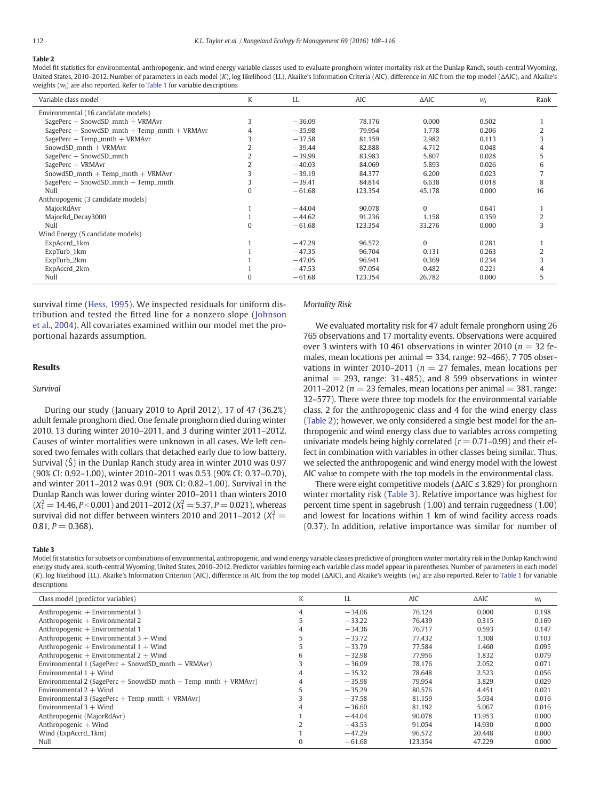# <span id="page-4-0"></span>Table 2

Model fit statistics for environmental, anthropogenic, and wind energy variable classes used to evaluate pronghorn winter mortality risk at the Dunlap Ranch, south-central Wyoming, United States, 2010-2012. Number of parameters in each model (K), log likelihood (LL), Akaike's Information Criteria (AIC), difference in AIC from the top model (ΔAIC), and Akaike's weights  $(w_i)$  are also reported. Refer to [Table 1](#page-2-0) for variable descriptions

| Variable class model                         | K | LL       | AIC     | $\triangle$ AIC | $W_i$ | Rank |
|----------------------------------------------|---|----------|---------|-----------------|-------|------|
| Environmental (16 candidate models)          |   |          |         |                 |       |      |
| SagePerc $+$ SnowdSD_mnth $+$ VRMAvr         |   | $-36.09$ | 78.176  | 0.000           | 0.502 |      |
| SagePerc + SnowdSD_mnth + Temp_mnth + VRMAvr |   | $-35.98$ | 79.954  | 1.778           | 0.206 |      |
| SagePerc $+$ Temp_mnth $+$ VRMAvr            |   | $-37.58$ | 81.159  | 2.982           | 0.113 | 3    |
| SnowdSD_mnth + VRMAvr                        |   | $-39.44$ | 82.888  | 4.712           | 0.048 |      |
| $SagePerc + SnowdSD_mnth$                    |   | $-39.99$ | 83.983  | 5.807           | 0.028 | 5    |
| SagePerc $+$ VRMAvr                          |   | $-40.03$ | 84.069  | 5.893           | 0.026 | 6    |
| SnowdSD_mnth + Temp_mnth + VRMAvr            |   | $-39.19$ | 84.377  | 6.200           | 0.023 |      |
| SagePerc $+$ SnowdSD_mnth $+$ Temp_mnth      |   | $-39.41$ | 84.814  | 6.638           | 0.018 | 8    |
| Null                                         |   | $-61.68$ | 123.354 | 45.178          | 0.000 | 16   |
| Anthropogenic (3 candidate models)           |   |          |         |                 |       |      |
| MajorRdAvr                                   |   | $-44.04$ | 90.078  | $\Omega$        | 0.641 |      |
| MajorRd_Decay3000                            |   | $-44.62$ | 91.236  | 1.158           | 0.359 |      |
| Null                                         |   | $-61.68$ | 123.354 | 33.276          | 0.000 |      |
| Wind Energy (5 candidate models)             |   |          |         |                 |       |      |
| ExpAccrd_1km                                 |   | $-47.29$ | 96.572  | $\Omega$        | 0.281 |      |
| ExpTurb_1km                                  |   | $-47.35$ | 96.704  | 0.131           | 0.263 |      |
| ExpTurb_2km                                  |   | $-47.05$ | 96.941  | 0.369           | 0.234 | 3    |
| ExpAccrd_2km                                 |   | $-47.53$ | 97.054  | 0.482           | 0.221 | 4    |
| Null                                         |   | $-61.68$ | 123.354 | 26.782          | 0.000 | 5    |

survival time [\(Hess, 1995\)](#page-7-0). We inspected residuals for uniform distribution and tested the fitted line for a nonzero slope ([Johnson](#page-7-0) [et al., 2004\)](#page-7-0). All covariates examined within our model met the proportional hazards assumption.

# Mortality Risk

# Results

# Survival

During our study (January 2010 to April 2012), 17 of 47 (36.2%) adult female pronghorn died. One female pronghorn died during winter 2010, 13 during winter 2010–2011, and 3 during winter 2011–2012. Causes of winter mortalities were unknown in all cases. We left censored two females with collars that detached early due to low battery. Survival (Ŝ) in the Dunlap Ranch study area in winter 2010 was 0.97 (90% CI: 0.92–1.00), winter 2010–2011 was 0.53 (90% CI: 0.37–0.70), and winter 2011–2012 was 0.91 (90% CI: 0.82–1.00). Survival in the Dunlap Ranch was lower during winter 2010–2011 than winters 2010  $(X_1^2 = 14.46, P < 0.001)$  and 2011–2012  $(X_1^2 = 5.37, P = 0.021)$ , whereas survival did not differ between winters 2010 and 2011–2012 ( $X_1^2 =$  $0.81, P = 0.368$ ).

We evaluated mortality risk for 47 adult female pronghorn using 26 765 observations and 17 mortality events. Observations were acquired over 3 winters with 10 461 observations in winter 2010 ( $n = 32$  females, mean locations per animal  $=$  334, range: 92–466), 7 705 observations in winter 2010–2011 ( $n = 27$  females, mean locations per animal  $= 293$ , range: 31-485), and 8 599 observations in winter 2011–2012 ( $n = 23$  females, mean locations per animal  $= 381$ , range: 32–577). There were three top models for the environmental variable class, 2 for the anthropogenic class and 4 for the wind energy class (Table 2); however, we only considered a single best model for the anthropogenic and wind energy class due to variables across competing univariate models being highly correlated ( $r = 0.71-0.99$ ) and their effect in combination with variables in other classes being similar. Thus, we selected the anthropogenic and wind energy model with the lowest AIC value to compete with the top models in the environmental class.

There were eight competitive models (ΔAIC ≤ 3.829) for pronghorn winter mortality risk (Table 3). Relative importance was highest for percent time spent in sagebrush (1.00) and terrain ruggedness (1.00) and lowest for locations within 1 km of wind facility access roads (0.37). In addition, relative importance was similar for number of

#### Table 3

Model fit statistics for subsets or combinations of environmental, anthropogenic, and wind energy variable classes predictive of pronghorn winter mortality risk in the Dunlap Ranch wind energy study area, south-central Wyoming, United States, 2010–2012. Predictor variables forming each variable class model appear in parentheses. Number of parameters in each model (K), log likelihood (LL), Akaike's Information Criterion (AIC), difference in AIC from the top model (ΔAIC), and Akaike's weights (wi) are also reported. Refer to [Table 1](#page-2-0) for variable descriptions

| Class model (predictor variables)                              | K        | LL       | <b>AIC</b> | $\triangle$ AIC | $W_i$ |
|----------------------------------------------------------------|----------|----------|------------|-----------------|-------|
| Anthropogenic $+$ Environmental 3                              | 4        | $-34.06$ | 76.124     | 0.000           | 0.198 |
| Anthropogenic + Environmental 2                                |          | $-33.22$ | 76.439     | 0.315           | 0.169 |
| Anthropogenic + Environmental 1                                | 4        | $-34.36$ | 76.717     | 0.593           | 0.147 |
| Anthropogenic $+$ Environmental 3 $+$ Wind                     |          | $-33.72$ | 77.432     | 1.308           | 0.103 |
| Anthropogenic + Environmental $1 +$ Wind                       |          | $-33.79$ | 77.584     | 1.460           | 0.095 |
| Anthropogenic + Environmental $2 +$ Wind                       | 6        | $-32.98$ | 77.956     | 1.832           | 0.079 |
| Environmental 1 (SagePerc $+$ SnowdSD_mnth $+$ VRMAvr)         |          | $-36.09$ | 78.176     | 2.052           | 0.071 |
| Environmental $1 +$ Wind                                       | 4        | $-35.32$ | 78.648     | 2.523           | 0.056 |
| Environmental 2 (SagePerc + SnowdSD_mnth + Temp_mnth + VRMAvr) | 4        | $-35.98$ | 79.954     | 3.829           | 0.029 |
| Environmental $2 +$ Wind                                       |          | $-35.29$ | 80.576     | 4.451           | 0.021 |
| Environmental 3 (SagePerc $+$ Temp_mnth $+$ VRMAvr)            |          | $-37.58$ | 81.159     | 5.034           | 0.016 |
| Environmental $3 +$ Wind                                       | 4        | $-36,60$ | 81.192     | 5.067           | 0.016 |
| Anthropogenic (MajorRdAvr)                                     |          | $-44.04$ | 90.078     | 13.953          | 0.000 |
| Anthropogenic $+$ Wind                                         |          | $-43.53$ | 91.054     | 14.930          | 0.000 |
| Wind (ExpAccrd_1km)                                            |          | $-47.29$ | 96.572     | 20.448          | 0.000 |
| Null                                                           | $\Omega$ | $-61.68$ | 123.354    | 47.229          | 0.000 |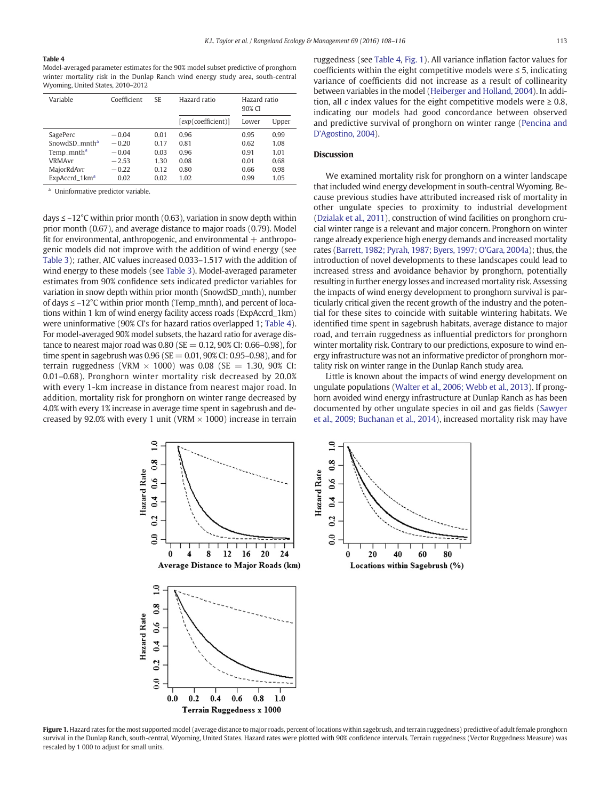#### <span id="page-5-0"></span>Table 4

Model-averaged parameter estimates for the 90% model subset predictive of pronghorn winter mortality risk in the Dunlap Ranch wind energy study area, south-central Wyoming, United States, 2010–2012

| Variable                  | Coefficient | SE.  | Hazard ratio       | Hazard ratio<br>90% CI |       |
|---------------------------|-------------|------|--------------------|------------------------|-------|
|                           |             |      | [exp(coefficient)] | Lower                  | Upper |
| SagePerc                  | $-0.04$     | 0.01 | 0.96               | 0.95                   | 0.99  |
| SnowdSD mnth <sup>a</sup> | $-0.20$     | 0.17 | 0.81               | 0.62                   | 1.08  |
| Temp_mnth <sup>a</sup>    | $-0.04$     | 0.03 | 0.96               | 0.91                   | 1.01  |
| <b>VRMAvr</b>             | $-2.53$     | 1.30 | 0.08               | 0.01                   | 0.68  |
| MajorRdAvr                | $-0.22$     | 0.12 | 0.80               | 0.66                   | 0.98  |
| ExpAccrd_1km <sup>a</sup> | 0.02        | 0.02 | 1.02               | 0.99                   | 1.05  |

<sup>a</sup> Uninformative predictor variable.

days  $≤$  –12 $°C$  within prior month (0.63), variation in snow depth within prior month (0.67), and average distance to major roads (0.79). Model fit for environmental, anthropogenic, and environmental  $+$  anthropogenic models did not improve with the addition of wind energy (see [Table 3](#page-4-0)); rather, AIC values increased 0.033–1.517 with the addition of wind energy to these models (see [Table 3\)](#page-4-0). Model-averaged parameter estimates from 90% confidence sets indicated predictor variables for variation in snow depth within prior month (SnowdSD\_mnth), number of days ≤ –12°C within prior month (Temp\_mnth), and percent of locations within 1 km of wind energy facility access roads (ExpAccrd\_1km) were uninformative (90% CI's for hazard ratios overlapped 1; Table 4). For model-averaged 90% model subsets, the hazard ratio for average distance to nearest major road was  $0.80$  (SE = 0.12, 90% CI: 0.66-0.98), for time spent in sagebrush was  $0.96$  (SE = 0.01, 90% CI: 0.95-0.98), and for terrain ruggedness (VRM  $\times$  1000) was 0.08 (SE = 1.30, 90% CI: 0.01–0.68). Pronghorn winter mortality risk decreased by 20.0% with every 1-km increase in distance from nearest major road. In addition, mortality risk for pronghorn on winter range decreased by 4.0% with every 1% increase in average time spent in sagebrush and decreased by 92.0% with every 1 unit (VRM  $\times$  1000) increase in terrain

# **Discussion**

We examined mortality risk for pronghorn on a winter landscape that included wind energy development in south-central Wyoming. Because previous studies have attributed increased risk of mortality in other ungulate species to proximity to industrial development [\(Dzialak et al., 2011\)](#page-7-0), construction of wind facilities on pronghorn crucial winter range is a relevant and major concern. Pronghorn on winter range already experience high energy demands and increased mortality rates [\(Barrett, 1982; Pyrah, 1987; Byers, 1997; O](#page-7-0)'Gara, 2004a); thus, the introduction of novel developments to these landscapes could lead to increased stress and avoidance behavior by pronghorn, potentially resulting in further energy losses and increased mortality risk. Assessing the impacts of wind energy development to pronghorn survival is particularly critical given the recent growth of the industry and the potential for these sites to coincide with suitable wintering habitats. We identified time spent in sagebrush habitats, average distance to major road, and terrain ruggedness as influential predictors for pronghorn winter mortality risk. Contrary to our predictions, exposure to wind energy infrastructure was not an informative predictor of pronghorn mortality risk on winter range in the Dunlap Ranch study area.

Little is known about the impacts of wind energy development on ungulate populations [\(Walter et al., 2006; Webb et al., 2013](#page-8-0)). If pronghorn avoided wind energy infrastructure at Dunlap Ranch as has been documented by other ungulate species in oil and gas fields ([Sawyer](#page-7-0) [et al., 2009; Buchanan et al., 2014\)](#page-7-0), increased mortality risk may have

60

80



Figure 1. Hazard rates for the most supported model (average distance to major roads, percent of locations within sagebrush, and terrain ruggedness) predictive of adult female pronghorn survival in the Dunlap Ranch, south-central, Wyoming, United States. Hazard rates were plotted with 90% confidence intervals. Terrain ruggedness (Vector Ruggedness Measure) was rescaled by 1 000 to adjust for small units.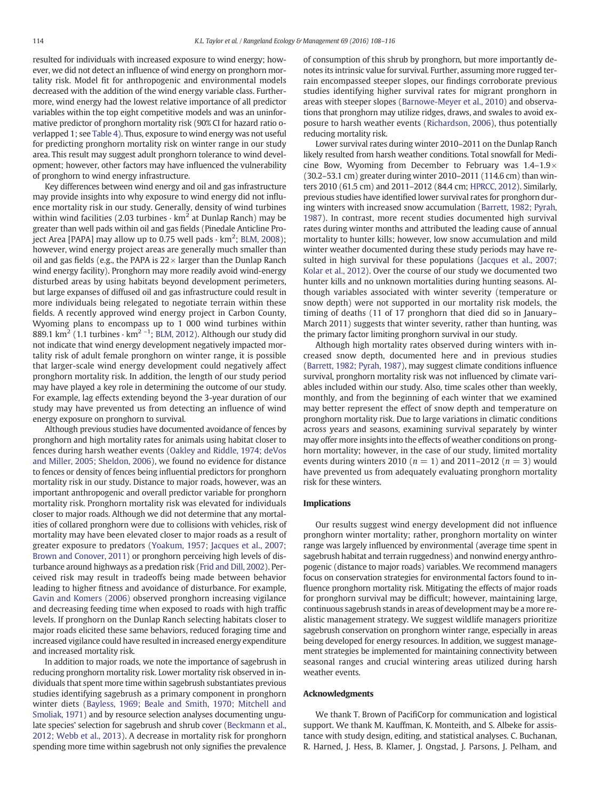resulted for individuals with increased exposure to wind energy; however, we did not detect an influence of wind energy on pronghorn mortality risk. Model fit for anthropogenic and environmental models decreased with the addition of the wind energy variable class. Furthermore, wind energy had the lowest relative importance of all predictor variables within the top eight competitive models and was an uninformative predictor of pronghorn mortality risk (90% CI for hazard ratio overlapped 1; see [Table 4\)](#page-5-0). Thus, exposure to wind energy was not useful for predicting pronghorn mortality risk on winter range in our study area. This result may suggest adult pronghorn tolerance to wind development; however, other factors may have influenced the vulnerability of pronghorn to wind energy infrastructure.

Key differences between wind energy and oil and gas infrastructure may provide insights into why exposure to wind energy did not influence mortality risk in our study. Generally, density of wind turbines within wind facilities (2.03 turbines ⋅ km<sup>2</sup> at Dunlap Ranch) may be greater than well pads within oil and gas fields (Pinedale Anticline Project Area [PAPA] may allow up to 0.75 well pads  $\cdot$  km<sup>2</sup>; [BLM, 2008](#page-7-0)); however, wind energy project areas are generally much smaller than oil and gas fields (e.g., the PAPA is  $22 \times$  larger than the Dunlap Ranch wind energy facility). Pronghorn may more readily avoid wind-energy disturbed areas by using habitats beyond development perimeters, but large expanses of diffused oil and gas infrastructure could result in more individuals being relegated to negotiate terrain within these fields. A recently approved wind energy project in Carbon County, Wyoming plans to encompass up to 1 000 wind turbines within 889.1 km<sup>2</sup> (1.1 turbines ⋅ km<sup>2 -1</sup>; [BLM, 2012](#page-7-0)). Although our study did not indicate that wind energy development negatively impacted mortality risk of adult female pronghorn on winter range, it is possible that larger-scale wind energy development could negatively affect pronghorn mortality risk. In addition, the length of our study period may have played a key role in determining the outcome of our study. For example, lag effects extending beyond the 3-year duration of our study may have prevented us from detecting an influence of wind energy exposure on pronghorn to survival.

Although previous studies have documented avoidance of fences by pronghorn and high mortality rates for animals using habitat closer to fences during harsh weather events [\(Oakley and Riddle, 1974; deVos](#page-7-0) [and Miller, 2005; Sheldon, 2006\)](#page-7-0), we found no evidence for distance to fences or density of fences being influential predictors for pronghorn mortality risk in our study. Distance to major roads, however, was an important anthropogenic and overall predictor variable for pronghorn mortality risk. Pronghorn mortality risk was elevated for individuals closer to major roads. Although we did not determine that any mortalities of collared pronghorn were due to collisions with vehicles, risk of mortality may have been elevated closer to major roads as a result of greater exposure to predators [\(Yoakum, 1957; Jacques et al., 2007;](#page-8-0) [Brown and Conover, 2011](#page-8-0)) or pronghorn perceiving high levels of disturbance around highways as a predation risk ([Frid and Dill, 2002\)](#page-7-0). Perceived risk may result in tradeoffs being made between behavior leading to higher fitness and avoidance of disturbance. For example, [Gavin and Komers \(2006\)](#page-7-0) observed pronghorn increasing vigilance and decreasing feeding time when exposed to roads with high traffic levels. If pronghorn on the Dunlap Ranch selecting habitats closer to major roads elicited these same behaviors, reduced foraging time and increased vigilance could have resulted in increased energy expenditure and increased mortality risk.

In addition to major roads, we note the importance of sagebrush in reducing pronghorn mortality risk. Lower mortality risk observed in individuals that spent more time within sagebrush substantiates previous studies identifying sagebrush as a primary component in pronghorn winter diets ([Bayless, 1969; Beale and Smith, 1970; Mitchell and](#page-7-0) [Smoliak, 1971\)](#page-7-0) and by resource selection analyses documenting ungulate species' selection for sagebrush and shrub cover [\(Beckmann et al.,](#page-7-0) [2012; Webb et al., 2013](#page-7-0)). A decrease in mortality risk for pronghorn spending more time within sagebrush not only signifies the prevalence

of consumption of this shrub by pronghorn, but more importantly denotes its intrinsic value for survival. Further, assuming more rugged terrain encompassed steeper slopes, our findings corroborate previous studies identifying higher survival rates for migrant pronghorn in areas with steeper slopes ([Barnowe-Meyer et al., 2010\)](#page-7-0) and observations that pronghorn may utilize ridges, draws, and swales to avoid exposure to harsh weather events ([Richardson, 2006\)](#page-7-0), thus potentially reducing mortality risk.

Lower survival rates during winter 2010–2011 on the Dunlap Ranch likely resulted from harsh weather conditions. Total snowfall for Medicine Bow, Wyoming from December to February was  $1.4-1.9\times$ (30.2–53.1 cm) greater during winter 2010–2011 (114.6 cm) than winters 2010 (61.5 cm) and 2011–2012 (84.4 cm; [HPRCC, 2012](#page-7-0)). Similarly, previous studies have identified lower survival rates for pronghorn during winters with increased snow accumulation [\(Barrett, 1982; Pyrah,](#page-7-0) [1987\)](#page-7-0). In contrast, more recent studies documented high survival rates during winter months and attributed the leading cause of annual mortality to hunter kills; however, low snow accumulation and mild winter weather documented during these study periods may have resulted in high survival for these populations ([Jacques et al., 2007;](#page-7-0) [Kolar et al., 2012\)](#page-7-0). Over the course of our study we documented two hunter kills and no unknown mortalities during hunting seasons. Although variables associated with winter severity (temperature or snow depth) were not supported in our mortality risk models, the timing of deaths (11 of 17 pronghorn that died did so in January– March 2011) suggests that winter severity, rather than hunting, was the primary factor limiting pronghorn survival in our study.

Although high mortality rates observed during winters with increased snow depth, documented here and in previous studies ([Barrett, 1982; Pyrah, 1987](#page-7-0)), may suggest climate conditions influence survival, pronghorn mortality risk was not influenced by climate variables included within our study. Also, time scales other than weekly, monthly, and from the beginning of each winter that we examined may better represent the effect of snow depth and temperature on pronghorn mortality risk. Due to large variations in climatic conditions across years and seasons, examining survival separately by winter may offer more insights into the effects of weather conditions on pronghorn mortality; however, in the case of our study, limited mortality events during winters 2010 ( $n = 1$ ) and 2011–2012 ( $n = 3$ ) would have prevented us from adequately evaluating pronghorn mortality risk for these winters.

# Implications

Our results suggest wind energy development did not influence pronghorn winter mortality; rather, pronghorn mortality on winter range was largely influenced by environmental (average time spent in sagebrush habitat and terrain ruggedness) and nonwind energy anthropogenic (distance to major roads) variables. We recommend managers focus on conservation strategies for environmental factors found to influence pronghorn mortality risk. Mitigating the effects of major roads for pronghorn survival may be difficult; however, maintaining large, continuous sagebrush stands in areas of development may be a more realistic management strategy. We suggest wildlife managers prioritize sagebrush conservation on pronghorn winter range, especially in areas being developed for energy resources. In addition, we suggest management strategies be implemented for maintaining connectivity between seasonal ranges and crucial wintering areas utilized during harsh weather events.

# Acknowledgments

We thank T. Brown of PacifiCorp for communication and logistical support. We thank M. Kauffman, K. Monteith, and S. Albeke for assistance with study design, editing, and statistical analyses. C. Buchanan, R. Harned, J. Hess, B. Klamer, J. Ongstad, J. Parsons, J. Pelham, and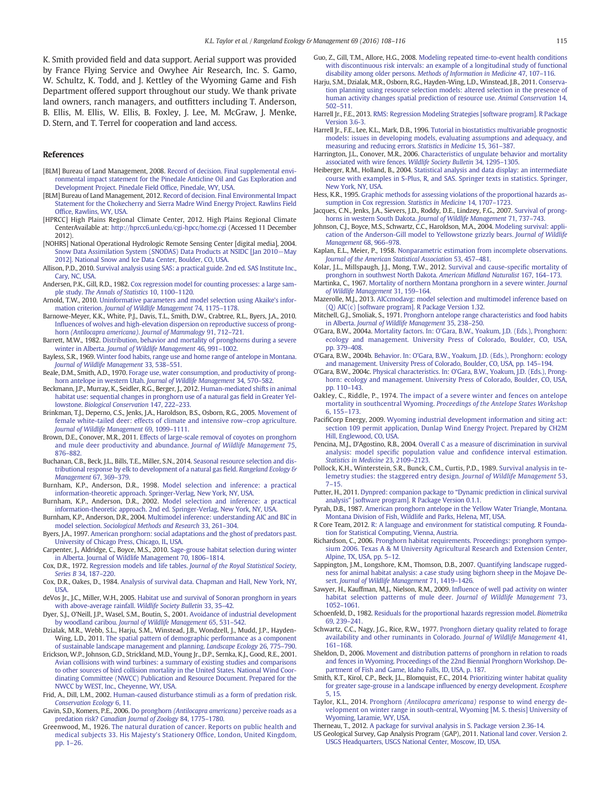<span id="page-7-0"></span>K. Smith provided field and data support. Aerial support was provided by France Flying Service and Owyhee Air Research, Inc. S. Gamo, W. Schultz, K. Todd, and J. Kettley of the Wyoming Game and Fish Department offered support throughout our study. We thank private land owners, ranch managers, and outfitters including T. Anderson, B. Ellis, M. Ellis, W. Ellis, B. Foxley, J. Lee, M. McGraw, J. Menke, D. Stern, and T. Terrel for cooperation and land access.

# **References**

- [BLM] Bureau of Land Management, 2008. [Record of decision. Final supplemental envi](http://refhub.elsevier.com/S1550-7424(15)00154-2/rf0005)[ronmental impact statement for the Pinedale Anticline Oil and Gas Exploration and](http://refhub.elsevier.com/S1550-7424(15)00154-2/rf0005) [Development Project. Pinedale Field Of](http://refhub.elsevier.com/S1550-7424(15)00154-2/rf0005)fice, Pinedale, WY, USA.
- [BLM] Bureau of Land Management, 2012. [Record of decision. Final Environmental Impact](http://refhub.elsevier.com/S1550-7424(15)00154-2/rf0010) [Statement for the Chokecherry and Sierra Madre Wind Energy Project. Rawlins Field](http://refhub.elsevier.com/S1550-7424(15)00154-2/rf0010) Offi[ce, Rawlins, WY, USA](http://refhub.elsevier.com/S1550-7424(15)00154-2/rf0010).
- [HPRCC] High Plains Regional Climate Center, 2012. High Plains Regional Climate CenterAvailable at: <http://hprcc6.unl.edu/cgi-hpcc/home.cgi> (Accessed 11 December 2012).
- [NOHRS] National Operational Hydrologic Remote Sensing Center [digital media], 2004. [Snow Data Assimilation System \(SNODAS\) Data Products at NSIDC \[Jan 2010](http://refhub.elsevier.com/S1550-7424(15)00154-2/rf0020)−May [2012\]. National Snow and Ice Data Center, Boulder, CO, USA](http://refhub.elsevier.com/S1550-7424(15)00154-2/rf0020).
- Allison, P.D., 2010. [Survival analysis using SAS: a practical guide. 2nd ed. SAS Institute Inc.,](http://refhub.elsevier.com/S1550-7424(15)00154-2/rf0025) [Cary, NC, USA.](http://refhub.elsevier.com/S1550-7424(15)00154-2/rf0025)
- Andersen, P.K., Gill, R.D., 1982. [Cox regression model for counting processes: a large sam](http://refhub.elsevier.com/S1550-7424(15)00154-2/rf0030)ple study. [The Annals of Statistics](http://refhub.elsevier.com/S1550-7424(15)00154-2/rf0030) 10, 1100–1120.
- Arnold, T.W., 2010. [Uninformative parameters and model selection using Akaike](http://refhub.elsevier.com/S1550-7424(15)00154-2/rf0035)'s information criterion. [Journal of Wildlife Management](http://refhub.elsevier.com/S1550-7424(15)00154-2/rf0035) 74, 1175–1178.
- Barnowe-Meyer, K.K., White, P.J., Davis, T.L., Smith, D.W., Crabtree, R.L., Byers, J.A., 2010. Infl[uences of wolves and high-elevation dispersion on reproductive success of prong](http://refhub.elsevier.com/S1550-7424(15)00154-2/rf0040)horn [\(Antilocapra americana\)](http://refhub.elsevier.com/S1550-7424(15)00154-2/rf0040). Journal of Mammalogy 91, 712–721.
- Barrett, M.W., 1982. [Distribution, behavior and mortality of pronghorns during a severe](http://refhub.elsevier.com/S1550-7424(15)00154-2/rf0045) winter in Alberta. [Journal of Wildlife Management](http://refhub.elsevier.com/S1550-7424(15)00154-2/rf0045) 46, 991–1002.
- Bayless, S.R., 1969. [Winter food habits, range use and home range of antelope in Montana.](http://refhub.elsevier.com/S1550-7424(15)00154-2/rf0050) [Journal of Wildlife Management](http://refhub.elsevier.com/S1550-7424(15)00154-2/rf0050) 33, 538–551.
- Beale, D.M., Smith, A.D., 1970. [Forage use, water consumption, and productivity of prong](http://refhub.elsevier.com/S1550-7424(15)00154-2/rf0055)[horn antelope in western Utah.](http://refhub.elsevier.com/S1550-7424(15)00154-2/rf0055) Journal of Wildlife Management 34, 570–582.
- Beckmann, J.P., Murray, K., Seidler, R.G., Berger, J., 2012. [Human-mediated shifts in animal](http://refhub.elsevier.com/S1550-7424(15)00154-2/rf0060) [habitat use: sequential changes in pronghorn use of a natural gas](http://refhub.elsevier.com/S1550-7424(15)00154-2/rf0060) field in Greater Yellowstone. [Biological Conservation](http://refhub.elsevier.com/S1550-7424(15)00154-2/rf0060) 147, 222–233.
- Brinkman, T.J., Deperno, C.S., Jenks, J.A., Haroldson, B.S., Osborn, R.G., 2005. [Movement of](http://refhub.elsevier.com/S1550-7424(15)00154-2/rf0065) [female white-tailed deer: effects of climate and intensive row](http://refhub.elsevier.com/S1550-7424(15)00154-2/rf0065)–crop agriculture. [Journal of Wildlife Management](http://refhub.elsevier.com/S1550-7424(15)00154-2/rf0065) 69, 1099–1111.
- Brown, D.E., Conover, M.R., 2011. [Effects of large-scale removal of coyotes on pronghorn](http://refhub.elsevier.com/S1550-7424(15)00154-2/rf0070) [and mule deer productivity and abundance.](http://refhub.elsevier.com/S1550-7424(15)00154-2/rf0070) Journal of Wildlife Management 75, [876](http://refhub.elsevier.com/S1550-7424(15)00154-2/rf0070)–882.
- Buchanan, C.B., Beck, J.L., Bills, T.E., Miller, S.N., 2014. [Seasonal resource selection and dis](http://refhub.elsevier.com/S1550-7424(15)00154-2/rf0075)[tributional response by elk to development of a natural gas](http://refhub.elsevier.com/S1550-7424(15)00154-2/rf0075) field. Rangeland Ecology & [Management](http://refhub.elsevier.com/S1550-7424(15)00154-2/rf0075) 67, 369–379.
- Burnham, K.P., Anderson, D.R., 1998. [Model selection and inference: a practical](http://refhub.elsevier.com/S1550-7424(15)00154-2/rf0080) [information-theoretic approach. Springer-Verlag, New York, NY, USA](http://refhub.elsevier.com/S1550-7424(15)00154-2/rf0080).
- Burnham, K.P., Anderson, D.R., 2002. [Model selection and inference: a practical](http://refhub.elsevier.com/S1550-7424(15)00154-2/rf0085) [information-theoretic approach. 2nd ed. Springer-Verlag, New York, NY, USA](http://refhub.elsevier.com/S1550-7424(15)00154-2/rf0085).
- Burnham, K.P., Anderson, D.R., 2004. [Multimodel inference: understanding AIC and BIC in](http://refhub.elsevier.com/S1550-7424(15)00154-2/rf0090) model selection. [Sociological Methods and Research](http://refhub.elsevier.com/S1550-7424(15)00154-2/rf0090) 33, 261–304.
- Byers, J.A., 1997. [American pronghorn: social adaptations and the ghost of predators past.](http://refhub.elsevier.com/S1550-7424(15)00154-2/rf0095) [University of Chicago Press, Chicago, IL, USA.](http://refhub.elsevier.com/S1550-7424(15)00154-2/rf0095)
- Carpenter, J., Aldridge, C., Boyce, M.S., 2010. [Sage-grouse habitat selection during winter](http://refhub.elsevier.com/S1550-7424(15)00154-2/rf0100) [in Alberta. Journal of Wildlife Management 70, 1806](http://refhub.elsevier.com/S1550-7424(15)00154-2/rf0100)–1814.
- Cox, D.R., 1972. Regression models and life tables. [Journal of the Royal Statistical Society,](http://refhub.elsevier.com/S1550-7424(15)00154-2/rf0105) Series B [34, 187](http://refhub.elsevier.com/S1550-7424(15)00154-2/rf0105)–220.
- Cox, D.R., Oakes, D., 1984. [Analysis of survival data. Chapman and Hall, New York, NY,](http://refhub.elsevier.com/S1550-7424(15)00154-2/rf0110) [USA](http://refhub.elsevier.com/S1550-7424(15)00154-2/rf0110).
- deVos Jr., J.C., Miller, W.H., 2005. [Habitat use and survival of Sonoran pronghorn in years](http://refhub.elsevier.com/S1550-7424(15)00154-2/rf0115) [with above-average rainfall.](http://refhub.elsevier.com/S1550-7424(15)00154-2/rf0115) Wildlife Society Bulletin 33, 35–42.
- Dyer, S.J., O'Neill, J.P., Wasel, S.M., Boutin, S., 2001. [Avoidance of industrial development](http://refhub.elsevier.com/S1550-7424(15)00154-2/rf0120) by woodland caribou. [Journal of Wildlife Management](http://refhub.elsevier.com/S1550-7424(15)00154-2/rf0120) 65, 531–542.
- Dzialak, M.R., Webb, S.L., Harju, S.M., Winstead, J.B., Wondzell, J., Mudd, J.P., Hayden-Wing, L.D., 2011. [The spatial pattern of demographic performance as a component](http://refhub.elsevier.com/S1550-7424(15)00154-2/rf0125) [of sustainable landscape management and planning.](http://refhub.elsevier.com/S1550-7424(15)00154-2/rf0125) Landscape Ecology 26, 775–790.
- Erickson, W.P., Johnson, G.D., Strickland, M.D., Young Jr., D.P., Sernka, K.J., Good, R.E., 2001. [Avian collisions with wind turbines: a summary of existing studies and comparisons](http://refhub.elsevier.com/S1550-7424(15)00154-2/rf0130) [to other sources of bird collision mortality in the United States. National Wind Coor](http://refhub.elsevier.com/S1550-7424(15)00154-2/rf0130)[dinating Committee \(NWCC\) Publication and Resource Document. Prepared for the](http://refhub.elsevier.com/S1550-7424(15)00154-2/rf0130) [NWCC by WEST, Inc., Cheyenne, WY, USA](http://refhub.elsevier.com/S1550-7424(15)00154-2/rf0130).
- Frid, A., Dill, L.M., 2002. [Human-caused disturbance stimuli as a form of predation risk.](http://refhub.elsevier.com/S1550-7424(15)00154-2/rf0135) [Conservation Ecology](http://refhub.elsevier.com/S1550-7424(15)00154-2/rf0135) 6, 11.
- Gavin, S.D., Komers, P.E., 2006. Do pronghorn [\(Antilocapra americana\)](http://refhub.elsevier.com/S1550-7424(15)00154-2/rf0140) perceive roads as a predation risk? [Canadian Journal of Zoology](http://refhub.elsevier.com/S1550-7424(15)00154-2/rf0140) 84, 1775–1780.
- Greenwood, M., 1926. [The natural duration of cancer. Reports on public health and](http://refhub.elsevier.com/S1550-7424(15)00154-2/rf0145) [medical subjects 33. His Majesty](http://refhub.elsevier.com/S1550-7424(15)00154-2/rf0145)'s Stationery Office, London, United Kingdom, [pp. 1](http://refhub.elsevier.com/S1550-7424(15)00154-2/rf0145)–26.
- Guo, Z., Gill, T.M., Allore, H.G., 2008. [Modeling repeated time-to-event health conditions](http://refhub.elsevier.com/S1550-7424(15)00154-2/rf0150) [with discontinuous risk intervals: an example of a longitudinal study of functional](http://refhub.elsevier.com/S1550-7424(15)00154-2/rf0150) disability among older persons. [Methods of Information in Medicine](http://refhub.elsevier.com/S1550-7424(15)00154-2/rf0150) 47, 107–116.
- Harju, S.M., Dzialak, M.R., Osborn, R.G., Hayden-Wing, L.D., Winstead, J.B., 2011. [Conserva](http://refhub.elsevier.com/S1550-7424(15)00154-2/rf0155)[tion planning using resource selection models: altered selection in the presence of](http://refhub.elsevier.com/S1550-7424(15)00154-2/rf0155) [human activity changes spatial prediction of resource use.](http://refhub.elsevier.com/S1550-7424(15)00154-2/rf0155) Animal Conservation 14, [502](http://refhub.elsevier.com/S1550-7424(15)00154-2/rf0155)–511.
- Harrell Jr., F.E., 2013. [RMS: Regression Modeling Strategies \[software program\]. R Package](http://refhub.elsevier.com/S1550-7424(15)00154-2/rf0160) [Version 3.6-3](http://refhub.elsevier.com/S1550-7424(15)00154-2/rf0160).
- Harrell Jr., F.E., Lee, K.L., Mark, D.B., 1996. [Tutorial in biostatistics multivariable prognostic](http://refhub.elsevier.com/S1550-7424(15)00154-2/rf0165) [models: issues in developing models, evaluating assumptions and adequacy, and](http://refhub.elsevier.com/S1550-7424(15)00154-2/rf0165) [measuring and reducing errors.](http://refhub.elsevier.com/S1550-7424(15)00154-2/rf0165) Statistics in Medicine 15, 361–387.
- Harrington, J.L., Conover, M.R., 2006. [Characteristics of ungulate behavior and mortality](http://refhub.elsevier.com/S1550-7424(15)00154-2/rf0170) [associated with wire fences.](http://refhub.elsevier.com/S1550-7424(15)00154-2/rf0170) Wildlife Society Bulletin 34, 1295–1305.
- Heiberger, R.M., Holland, B., 2004. [Statistical analysis and data display: an intermediate](http://refhub.elsevier.com/S1550-7424(15)00154-2/rf0175) [course with examples in S-Plus, R, and SAS. Springer texts in statistics. Springer,](http://refhub.elsevier.com/S1550-7424(15)00154-2/rf0175) [New York, NY, USA](http://refhub.elsevier.com/S1550-7424(15)00154-2/rf0175).
- Hess, K.R., 1995. [Graphic methods for assessing violations of the proportional hazards as](http://refhub.elsevier.com/S1550-7424(15)00154-2/rf0180)[sumption in Cox regression.](http://refhub.elsevier.com/S1550-7424(15)00154-2/rf0180) Statistics in Medicine 14, 1707–1723.
- Jacques, C.N., Jenks, J.A., Sievers, J.D., Roddy, D.E., Lindzey, F.G., 2007. [Survival of prong](http://refhub.elsevier.com/S1550-7424(15)00154-2/rf0185)[horns in western South Dakota.](http://refhub.elsevier.com/S1550-7424(15)00154-2/rf0185) Journal of Wildlife Management 71, 737–743.
- Johnson, C.J., Boyce, M.S., Schwartz, C.C., Haroldson, M.A., 2004. [Modeling survival: appli](http://refhub.elsevier.com/S1550-7424(15)00154-2/rf0190)[cation of the Anderson-Gill model to Yellowstone grizzly bears.](http://refhub.elsevier.com/S1550-7424(15)00154-2/rf0190) Journal of Wildlife [Management](http://refhub.elsevier.com/S1550-7424(15)00154-2/rf0190) 68, 966–978.
- Kaplan, E.L., Meier, P., 1958. [Nonparametric estimation from incomplete observations.](http://refhub.elsevier.com/S1550-7424(15)00154-2/rf0195) [Journal of the American Statistical Association](http://refhub.elsevier.com/S1550-7424(15)00154-2/rf0195) 53, 457–481.
- Kolar, J.L., Millspaugh, J.J., Mong, T.W., 2012. [Survival and cause-speci](http://refhub.elsevier.com/S1550-7424(15)00154-2/rf0200)fic mortality of [pronghorn in southwest North Dakota.](http://refhub.elsevier.com/S1550-7424(15)00154-2/rf0200) American Midland Naturalist 167, 164–173.
- Martinka, C., 1967. [Mortality of northern Montana pronghorn in a severe winter.](http://refhub.elsevier.com/S1550-7424(15)00154-2/rf0205) Journal [of Wildlife Management](http://refhub.elsevier.com/S1550-7424(15)00154-2/rf0205) 31, 159–164.
- Mazerolle, M.J., 2013. [AICcmodavg: model selection and multimodel inference based on](http://refhub.elsevier.com/S1550-7424(15)00154-2/rf0210) [\(Q\) AIC\(c\) \[software program\]. R Package Version 1.32](http://refhub.elsevier.com/S1550-7424(15)00154-2/rf0210).
- Mitchell, G.J., Smoliak, S., 1971. [Pronghorn antelope range characteristics and food habits](http://refhub.elsevier.com/S1550-7424(15)00154-2/rf0215) in Alberta. [Journal of Wildlife Management](http://refhub.elsevier.com/S1550-7424(15)00154-2/rf0215) 35, 238–250.
- O'Gara, B.W., 2004a. Mortality factors. In: O'[Gara, B.W., Yoakum, J.D. \(Eds.\), Pronghorn:](http://refhub.elsevier.com/S1550-7424(15)00154-2/rf0220) [ecology and management. University Press of Colorado, Boulder, CO, USA,](http://refhub.elsevier.com/S1550-7424(15)00154-2/rf0220) [pp. 379](http://refhub.elsevier.com/S1550-7424(15)00154-2/rf0220)–408.
- O'Gara, B.W., 2004b. Behavior. In: O'[Gara, B.W., Yoakum, J.D. \(Eds.\), Pronghorn: ecology](http://refhub.elsevier.com/S1550-7424(15)00154-2/rf0225)
- [and management. University Press of Colorado, Boulder, CO, USA, pp. 145](http://refhub.elsevier.com/S1550-7424(15)00154-2/rf0225)–194. O'Gara, B.W., 2004c. Physical characteristics. In: O'[Gara, B.W., Yoakum, J.D. \(Eds.\), Prong](http://refhub.elsevier.com/S1550-7424(15)00154-2/rf0230)[horn: ecology and management. University Press of Colorado, Boulder, CO, USA,](http://refhub.elsevier.com/S1550-7424(15)00154-2/rf0230) [pp. 110](http://refhub.elsevier.com/S1550-7424(15)00154-2/rf0230)–143.
- Oakley, C., Riddle, P., 1974. [The impact of a severe winter and fences on antelope](http://refhub.elsevier.com/S1550-7424(15)00154-2/rf0235) mortality in southcentral Wyoming. [Proceedings of the Antelope States Workshop](http://refhub.elsevier.com/S1550-7424(15)00154-2/rf0235) [6, 155](http://refhub.elsevier.com/S1550-7424(15)00154-2/rf0235)–173.
- PacifiCorp Energy, 2009. [Wyoming industrial development information and siting act:](http://refhub.elsevier.com/S1550-7424(15)00154-2/rf0240) [section 109 permit application, Dunlap Wind Energy Project. Prepared by CH2M](http://refhub.elsevier.com/S1550-7424(15)00154-2/rf0240) [Hill, Englewood, CO, USA.](http://refhub.elsevier.com/S1550-7424(15)00154-2/rf0240)
- Pencina, M.J., D'Agostino, R.B., 2004. [Overall C as a measure of discrimination in survival](http://refhub.elsevier.com/S1550-7424(15)00154-2/rf0245) analysis: model specifi[c population value and con](http://refhub.elsevier.com/S1550-7424(15)00154-2/rf0245)fidence interval estimation. [Statistics in Medicine](http://refhub.elsevier.com/S1550-7424(15)00154-2/rf0245) 23, 2109–2123.
- Pollock, K.H., Winterstein, S.R., Bunck, C.M., Curtis, P.D., 1989. [Survival analysis in te](http://refhub.elsevier.com/S1550-7424(15)00154-2/rf0250)[lemetry studies: the staggered entry design.](http://refhub.elsevier.com/S1550-7424(15)00154-2/rf0250) Journal of Wildlife Management 53, 7–[15](http://refhub.elsevier.com/S1550-7424(15)00154-2/rf0250).
- Putter, H., 2011. Dynpred: companion package to "[Dynamic prediction in clinical survival](http://refhub.elsevier.com/S1550-7424(15)00154-2/rf0255) analysis" [\[software program\]. R Package Version 0.1.1.](http://refhub.elsevier.com/S1550-7424(15)00154-2/rf0255)
- Pyrah, D.B., 1987. [American pronghorn antelope in the Yellow Water Triangle, Montana.](http://refhub.elsevier.com/S1550-7424(15)00154-2/rf0260) [Montana Division of Fish, Wildlife and Parks, Helena, MT, USA](http://refhub.elsevier.com/S1550-7424(15)00154-2/rf0260).
- R Core Team, 2012. [R: A language and environment for statistical computing. R Founda](http://refhub.elsevier.com/S1550-7424(15)00154-2/rf0265)[tion for Statistical Computing, Vienna, Austria](http://refhub.elsevier.com/S1550-7424(15)00154-2/rf0265).
- Richardson, C., 2006. [Pronghorn habitat requirements. Proceedings: pronghorn sympo](http://refhub.elsevier.com/S1550-7424(15)00154-2/rf0270)[sium 2006. Texas A & M University Agricultural Research and Extension Center,](http://refhub.elsevier.com/S1550-7424(15)00154-2/rf0270) [Alpine, TX, USA, pp. 5](http://refhub.elsevier.com/S1550-7424(15)00154-2/rf0270)–12.
- Sappington, J.M., Longshore, K.M., Thomson, D.B., 2007. [Quantifying landscape rugged](http://refhub.elsevier.com/S1550-7424(15)00154-2/rf0275)[ness for animal habitat analysis: a case study using bighorn sheep in the Mojave De](http://refhub.elsevier.com/S1550-7424(15)00154-2/rf0275)sert. [Journal of Wildlife Management](http://refhub.elsevier.com/S1550-7424(15)00154-2/rf0275) 71, 1419–1426.
- Sawyer, H., Kauffman, M.J., Nielson, R.M., 2009. Infl[uence of well pad activity on winter](http://refhub.elsevier.com/S1550-7424(15)00154-2/rf0280) [habitat selection patterns of mule deer.](http://refhub.elsevier.com/S1550-7424(15)00154-2/rf0280) Journal of Wildlife Management 73, [1052](http://refhub.elsevier.com/S1550-7424(15)00154-2/rf0280)–1061.
- Schoenfeld, D., 1982. [Residuals for the proportional hazards regression model.](http://refhub.elsevier.com/S1550-7424(15)00154-2/rf0285) Biometrika [69, 239](http://refhub.elsevier.com/S1550-7424(15)00154-2/rf0285)–241.
- Schwartz, C.C., Nagy, J.G., Rice, R.W., 1977. [Pronghorn dietary quality related to forage](http://refhub.elsevier.com/S1550-7424(15)00154-2/rf0290) [availability and other ruminants in Colorado.](http://refhub.elsevier.com/S1550-7424(15)00154-2/rf0290) Journal of Wildlife Management 41, [161](http://refhub.elsevier.com/S1550-7424(15)00154-2/rf0290)–168.
- Sheldon, D., 2006. [Movement and distribution patterns of pronghorn in relation to roads](http://refhub.elsevier.com/S1550-7424(15)00154-2/rf0295) [and fences in Wyoming. Proceedings of the 22nd Biennial Pronghorn Workshop. De](http://refhub.elsevier.com/S1550-7424(15)00154-2/rf0295)[partment of Fish and Game, Idaho Falls, ID, USA, p. 187](http://refhub.elsevier.com/S1550-7424(15)00154-2/rf0295).
- Smith, K.T., Kirol, C.P., Beck, J.L., Blomquist, F.C., 2014. [Prioritizing winter habitat quality](http://refhub.elsevier.com/S1550-7424(15)00154-2/rf0300) [for greater sage-grouse in a landscape in](http://refhub.elsevier.com/S1550-7424(15)00154-2/rf0300)fluenced by energy development. Ecosphere [5, 15](http://refhub.elsevier.com/S1550-7424(15)00154-2/rf0300).
- Taylor, K.L., 2014. Pronghorn (Antilocapra americana) [response to wind energy de](http://refhub.elsevier.com/S1550-7424(15)00154-2/rf0305)[velopment on winter range in south-central, Wyoming \[M. S. thesis\] University of](http://refhub.elsevier.com/S1550-7424(15)00154-2/rf0305) [Wyoming, Laramie, WY, USA.](http://refhub.elsevier.com/S1550-7424(15)00154-2/rf0305)
- Therneau, T., 2012. [A package for survival analysis in S. Package version 2.36-14.](http://refhub.elsevier.com/S1550-7424(15)00154-2/rf0310)
- US Geological Survey, Gap Analysis Program (GAP), 2011. [National land cover. Version 2.](http://refhub.elsevier.com/S1550-7424(15)00154-2/rf0315) [USGS Headquarters, USGS National Center, Moscow, ID, USA](http://refhub.elsevier.com/S1550-7424(15)00154-2/rf0315).